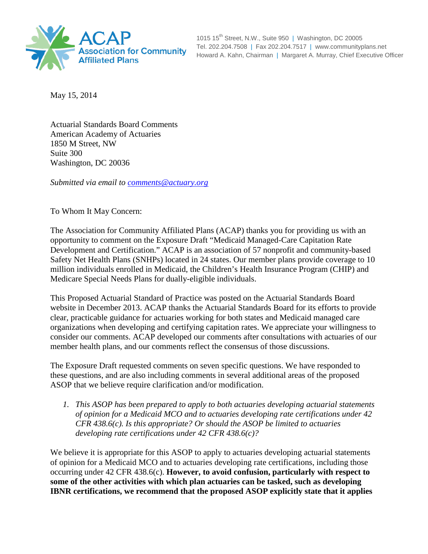

1015 15<sup>th</sup> Street, N.W., Suite 950 | Washington, DC 20005 Tel. 202.204.7508 | Fax 202.204.7517 | www.communityplans.net Howard A. Kahn, Chairman | Margaret A. Murray, Chief Executive Officer

May 15, 2014

Actuarial Standards Board Comments American Academy of Actuaries 1850 M Street, NW Suite 300 Washington, DC 20036

*Submitted via email to [comments@actuary.org](mailto:comments@actuary.org)*

To Whom It May Concern:

The Association for Community Affiliated Plans (ACAP) thanks you for providing us with an opportunity to comment on the Exposure Draft "Medicaid Managed-Care Capitation Rate Development and Certification." ACAP is an association of 57 nonprofit and community-based Safety Net Health Plans (SNHPs) located in 24 states. Our member plans provide coverage to 10 million individuals enrolled in Medicaid, the Children's Health Insurance Program (CHIP) and Medicare Special Needs Plans for dually-eligible individuals.

This Proposed Actuarial Standard of Practice was posted on the Actuarial Standards Board website in December 2013. ACAP thanks the Actuarial Standards Board for its efforts to provide clear, practicable guidance for actuaries working for both states and Medicaid managed care organizations when developing and certifying capitation rates. We appreciate your willingness to consider our comments. ACAP developed our comments after consultations with actuaries of our member health plans, and our comments reflect the consensus of those discussions.

The Exposure Draft requested comments on seven specific questions. We have responded to these questions, and are also including comments in several additional areas of the proposed ASOP that we believe require clarification and/or modification.

*1. This ASOP has been prepared to apply to both actuaries developing actuarial statements of opinion for a Medicaid MCO and to actuaries developing rate certifications under 42 CFR 438.6(c). Is this appropriate? Or should the ASOP be limited to actuaries developing rate certifications under 42 CFR 438.6(c)?*

We believe it is appropriate for this ASOP to apply to actuaries developing actuarial statements of opinion for a Medicaid MCO and to actuaries developing rate certifications, including those occurring under 42 CFR 438.6(c). **However, to avoid confusion, particularly with respect to some of the other activities with which plan actuaries can be tasked, such as developing IBNR certifications, we recommend that the proposed ASOP explicitly state that it applies**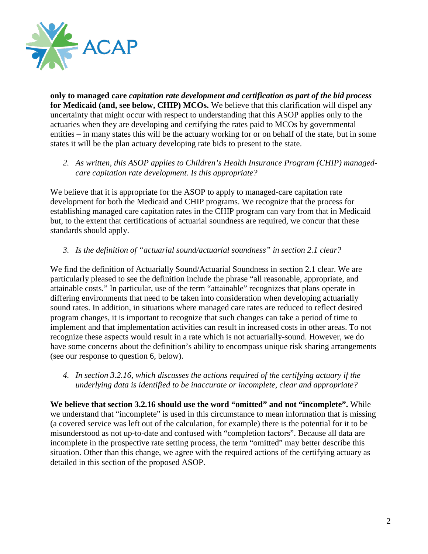

**only to managed care** *capitation rate development and certification as part of the bid process* **for Medicaid (and, see below, CHIP) MCOs.** We believe that this clarification will dispel any uncertainty that might occur with respect to understanding that this ASOP applies only to the actuaries when they are developing and certifying the rates paid to MCOs by governmental entities – in many states this will be the actuary working for or on behalf of the state, but in some states it will be the plan actuary developing rate bids to present to the state.

*2. As written, this ASOP applies to Children's Health Insurance Program (CHIP) managedcare capitation rate development. Is this appropriate?*

We believe that it is appropriate for the ASOP to apply to managed-care capitation rate development for both the Medicaid and CHIP programs. We recognize that the process for establishing managed care capitation rates in the CHIP program can vary from that in Medicaid but, to the extent that certifications of actuarial soundness are required, we concur that these standards should apply.

*3. Is the definition of "actuarial sound/actuarial soundness" in section 2.1 clear?*

We find the definition of Actuarially Sound/Actuarial Soundness in section 2.1 clear. We are particularly pleased to see the definition include the phrase "all reasonable, appropriate, and attainable costs." In particular, use of the term "attainable" recognizes that plans operate in differing environments that need to be taken into consideration when developing actuarially sound rates. In addition, in situations where managed care rates are reduced to reflect desired program changes, it is important to recognize that such changes can take a period of time to implement and that implementation activities can result in increased costs in other areas. To not recognize these aspects would result in a rate which is not actuarially-sound. However, we do have some concerns about the definition's ability to encompass unique risk sharing arrangements (see our response to question 6, below).

*4. In section 3.2.16, which discusses the actions required of the certifying actuary if the underlying data is identified to be inaccurate or incomplete, clear and appropriate?*

**We believe that section 3.2.16 should use the word "omitted" and not "incomplete".** While we understand that "incomplete" is used in this circumstance to mean information that is missing (a covered service was left out of the calculation, for example) there is the potential for it to be misunderstood as not up-to-date and confused with "completion factors". Because all data are incomplete in the prospective rate setting process, the term "omitted" may better describe this situation. Other than this change, we agree with the required actions of the certifying actuary as detailed in this section of the proposed ASOP.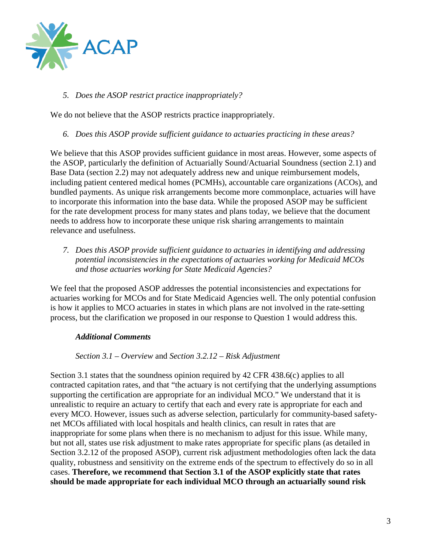

*5. Does the ASOP restrict practice inappropriately?*

We do not believe that the ASOP restricts practice inappropriately.

*6. Does this ASOP provide sufficient guidance to actuaries practicing in these areas?*

We believe that this ASOP provides sufficient guidance in most areas. However, some aspects of the ASOP, particularly the definition of Actuarially Sound/Actuarial Soundness (section 2.1) and Base Data (section 2.2) may not adequately address new and unique reimbursement models, including patient centered medical homes (PCMHs), accountable care organizations (ACOs), and bundled payments. As unique risk arrangements become more commonplace, actuaries will have to incorporate this information into the base data. While the proposed ASOP may be sufficient for the rate development process for many states and plans today, we believe that the document needs to address how to incorporate these unique risk sharing arrangements to maintain relevance and usefulness.

*7. Does this ASOP provide sufficient guidance to actuaries in identifying and addressing potential inconsistencies in the expectations of actuaries working for Medicaid MCOs and those actuaries working for State Medicaid Agencies?*

We feel that the proposed ASOP addresses the potential inconsistencies and expectations for actuaries working for MCOs and for State Medicaid Agencies well. The only potential confusion is how it applies to MCO actuaries in states in which plans are not involved in the rate-setting process, but the clarification we proposed in our response to Question 1 would address this.

# *Additional Comments*

*Section 3.1 – Overview* and *Section 3.2.12 – Risk Adjustment*

Section 3.1 states that the soundness opinion required by 42 CFR 438.6(c) applies to all contracted capitation rates, and that "the actuary is not certifying that the underlying assumptions supporting the certification are appropriate for an individual MCO." We understand that it is unrealistic to require an actuary to certify that each and every rate is appropriate for each and every MCO. However, issues such as adverse selection, particularly for community-based safetynet MCOs affiliated with local hospitals and health clinics, can result in rates that are inappropriate for some plans when there is no mechanism to adjust for this issue. While many, but not all, states use risk adjustment to make rates appropriate for specific plans (as detailed in Section 3.2.12 of the proposed ASOP), current risk adjustment methodologies often lack the data quality, robustness and sensitivity on the extreme ends of the spectrum to effectively do so in all cases. **Therefore, we recommend that Section 3.1 of the ASOP explicitly state that rates should be made appropriate for each individual MCO through an actuarially sound risk**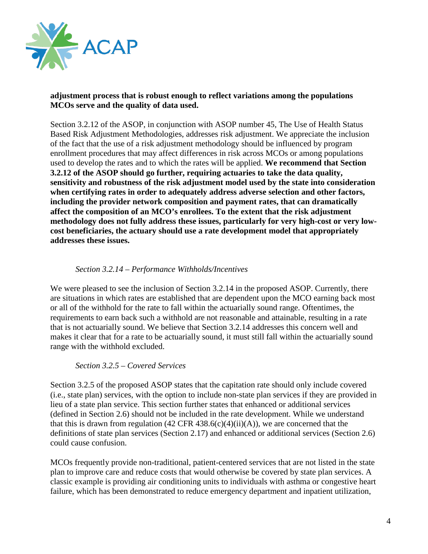

### **adjustment process that is robust enough to reflect variations among the populations MCOs serve and the quality of data used.**

Section 3.2.12 of the ASOP, in conjunction with ASOP number 45, The Use of Health Status Based Risk Adjustment Methodologies, addresses risk adjustment. We appreciate the inclusion of the fact that the use of a risk adjustment methodology should be influenced by program enrollment procedures that may affect differences in risk across MCOs or among populations used to develop the rates and to which the rates will be applied. **We recommend that Section 3.2.12 of the ASOP should go further, requiring actuaries to take the data quality, sensitivity and robustness of the risk adjustment model used by the state into consideration when certifying rates in order to adequately address adverse selection and other factors, including the provider network composition and payment rates, that can dramatically affect the composition of an MCO's enrollees. To the extent that the risk adjustment methodology does not fully address these issues, particularly for very high-cost or very lowcost beneficiaries, the actuary should use a rate development model that appropriately addresses these issues.**

# *Section 3.2.14 – Performance Withholds/Incentives*

We were pleased to see the inclusion of Section 3.2.14 in the proposed ASOP. Currently, there are situations in which rates are established that are dependent upon the MCO earning back most or all of the withhold for the rate to fall within the actuarially sound range. Oftentimes, the requirements to earn back such a withhold are not reasonable and attainable, resulting in a rate that is not actuarially sound. We believe that Section 3.2.14 addresses this concern well and makes it clear that for a rate to be actuarially sound, it must still fall within the actuarially sound range with the withhold excluded.

### *Section 3.2.5 – Covered Services*

Section 3.2.5 of the proposed ASOP states that the capitation rate should only include covered (i.e., state plan) services, with the option to include non-state plan services if they are provided in lieu of a state plan service. This section further states that enhanced or additional services (defined in Section 2.6) should not be included in the rate development. While we understand that this is drawn from regulation  $(42 \text{ CFR } 438.6(c)(4)(ii)(A))$ , we are concerned that the definitions of state plan services (Section 2.17) and enhanced or additional services (Section 2.6) could cause confusion.

MCOs frequently provide non-traditional, patient-centered services that are not listed in the state plan to improve care and reduce costs that would otherwise be covered by state plan services. A classic example is providing air conditioning units to individuals with asthma or congestive heart failure, which has been demonstrated to reduce emergency department and inpatient utilization,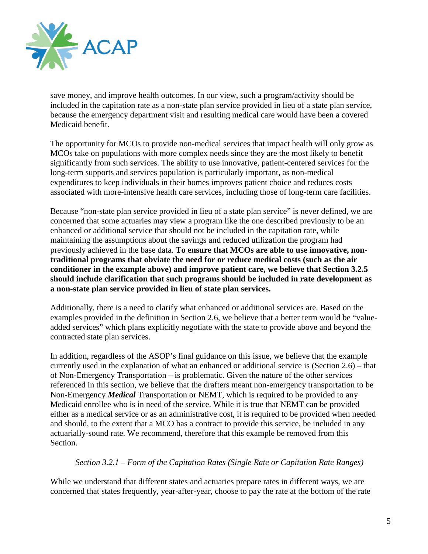

save money, and improve health outcomes. In our view, such a program/activity should be included in the capitation rate as a non-state plan service provided in lieu of a state plan service, because the emergency department visit and resulting medical care would have been a covered Medicaid benefit.

The opportunity for MCOs to provide non-medical services that impact health will only grow as MCOs take on populations with more complex needs since they are the most likely to benefit significantly from such services. The ability to use innovative, patient-centered services for the long-term supports and services population is particularly important, as non-medical expenditures to keep individuals in their homes improves patient choice and reduces costs associated with more-intensive health care services, including those of long-term care facilities.

Because "non-state plan service provided in lieu of a state plan service" is never defined, we are concerned that some actuaries may view a program like the one described previously to be an enhanced or additional service that should not be included in the capitation rate, while maintaining the assumptions about the savings and reduced utilization the program had previously achieved in the base data. **To ensure that MCOs are able to use innovative, nontraditional programs that obviate the need for or reduce medical costs (such as the air conditioner in the example above) and improve patient care, we believe that Section 3.2.5 should include clarification that such programs should be included in rate development as a non-state plan service provided in lieu of state plan services.**

Additionally, there is a need to clarify what enhanced or additional services are. Based on the examples provided in the definition in Section 2.6, we believe that a better term would be "valueadded services" which plans explicitly negotiate with the state to provide above and beyond the contracted state plan services.

In addition, regardless of the ASOP's final guidance on this issue, we believe that the example currently used in the explanation of what an enhanced or additional service is (Section 2.6) – that of Non-Emergency Transportation – is problematic. Given the nature of the other services referenced in this section, we believe that the drafters meant non-emergency transportation to be Non-Emergency *Medical* Transportation or NEMT, which is required to be provided to any Medicaid enrollee who is in need of the service. While it is true that NEMT can be provided either as a medical service or as an administrative cost, it is required to be provided when needed and should, to the extent that a MCO has a contract to provide this service, be included in any actuarially-sound rate. We recommend, therefore that this example be removed from this Section.

### *Section 3.2.1 – Form of the Capitation Rates (Single Rate or Capitation Rate Ranges)*

While we understand that different states and actuaries prepare rates in different ways, we are concerned that states frequently, year-after-year, choose to pay the rate at the bottom of the rate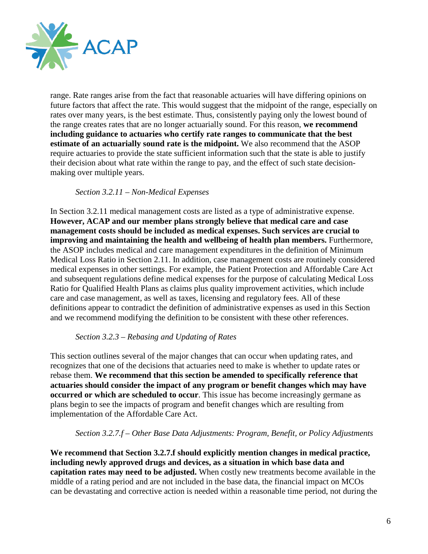

range. Rate ranges arise from the fact that reasonable actuaries will have differing opinions on future factors that affect the rate. This would suggest that the midpoint of the range, especially on rates over many years, is the best estimate. Thus, consistently paying only the lowest bound of the range creates rates that are no longer actuarially sound. For this reason, **we recommend including guidance to actuaries who certify rate ranges to communicate that the best estimate of an actuarially sound rate is the midpoint.** We also recommend that the ASOP require actuaries to provide the state sufficient information such that the state is able to justify their decision about what rate within the range to pay, and the effect of such state decisionmaking over multiple years.

### *Section 3.2.11 – Non-Medical Expenses*

In Section 3.2.11 medical management costs are listed as a type of administrative expense. **However, ACAP and our member plans strongly believe that medical care and case management costs should be included as medical expenses. Such services are crucial to improving and maintaining the health and wellbeing of health plan members.** Furthermore, the ASOP includes medical and care management expenditures in the definition of Minimum Medical Loss Ratio in Section 2.11. In addition, case management costs are routinely considered medical expenses in other settings. For example, the Patient Protection and Affordable Care Act and subsequent regulations define medical expenses for the purpose of calculating Medical Loss Ratio for Qualified Health Plans as claims plus quality improvement activities, which include care and case management, as well as taxes, licensing and regulatory fees. All of these definitions appear to contradict the definition of administrative expenses as used in this Section and we recommend modifying the definition to be consistent with these other references.

### *Section 3.2.3 – Rebasing and Updating of Rates*

This section outlines several of the major changes that can occur when updating rates, and recognizes that one of the decisions that actuaries need to make is whether to update rates or rebase them. **We recommend that this section be amended to specifically reference that actuaries should consider the impact of any program or benefit changes which may have occurred or which are scheduled to occur**. This issue has become increasingly germane as plans begin to see the impacts of program and benefit changes which are resulting from implementation of the Affordable Care Act.

### *Section 3.2.7.f – Other Base Data Adjustments: Program, Benefit, or Policy Adjustments*

**We recommend that Section 3.2.7.f should explicitly mention changes in medical practice, including newly approved drugs and devices, as a situation in which base data and capitation rates may need to be adjusted.** When costly new treatments become available in the middle of a rating period and are not included in the base data, the financial impact on MCOs can be devastating and corrective action is needed within a reasonable time period, not during the